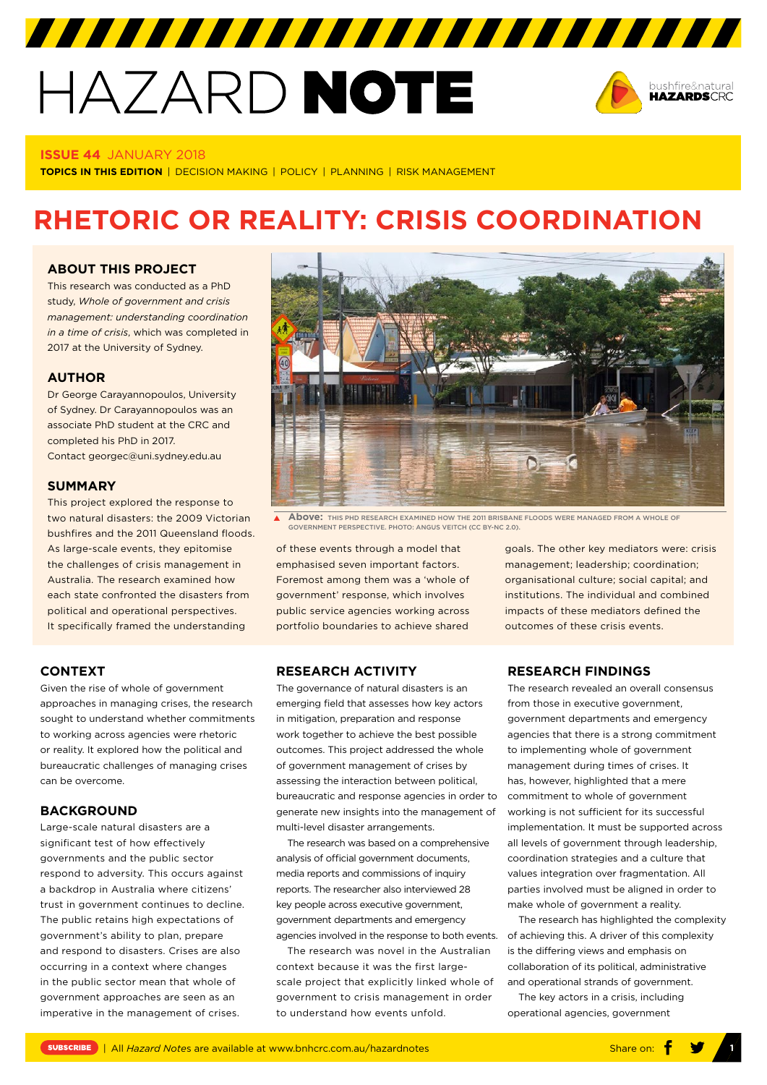# HAZARD NOTE



#### **ISSUE 44** JANUARY 2018

**TOPICS IN THIS EDITION** | DECISION MAKING | POLICY | PLANNING | RISK MANAGEMENT

# **RHETORIC OR REALITY: CRISIS COORDINATION**

#### **ABOUT THIS PROJECT**

This research was conducted as a PhD study, *Whole of government and crisis management: understanding coordination in a time of crisis*, which was completed in 2017 at the University of Sydney.

#### **AUTHOR**

Dr George Carayannopoulos, University of Sydney. Dr Carayannopoulos was an associate PhD student at the CRC and completed his PhD in 2017. Contact georgec@uni.sydney.edu.au

#### **SUMMARY**

This project explored the response to two natural disasters: the 2009 Victorian bushfires and the 2011 Queensland floods. As large-scale events, they epitomise the challenges of crisis management in Australia. The research examined how each state confronted the disasters from political and operational perspectives. It specifically framed the understanding

## **CONTEXT**

Given the rise of whole of government approaches in managing crises, the research sought to understand whether commitments to working across agencies were rhetoric or reality. It explored how the political and bureaucratic challenges of managing crises can be overcome.

## **BACKGROUND**

Large-scale natural disasters are a significant test of how effectively governments and the public sector respond to adversity. This occurs against a backdrop in Australia where citizens' trust in government continues to decline. The public retains high expectations of government's ability to plan, prepare and respond to disasters. Crises are also occurring in a context where changes in the public sector mean that whole of government approaches are seen as an imperative in the management of crises.



**Above:** THIS PHD RESEARCH EXAMINED HOW THE 2011 BRISBANE FLOODS WERE MANAGED FROM A WHOLE OF GOVERNMENT PERSPECTIVE. PHOTO: ANGUS VEITCH (CC BY-NC 2.0).

of these events through a model that emphasised seven important factors. Foremost among them was a 'whole of government' response, which involves public service agencies working across portfolio boundaries to achieve shared

#### **RESEARCH ACTIVITY**

The governance of natural disasters is an emerging field that assesses how key actors in mitigation, preparation and response work together to achieve the best possible outcomes. This project addressed the whole of government management of crises by assessing the interaction between political, bureaucratic and response agencies in order to generate new insights into the management of multi-level disaster arrangements.

The research was based on a comprehensive analysis of official government documents, media reports and commissions of inquiry reports. The researcher also interviewed 28 key people across executive government, government departments and emergency agencies involved in the response to both events.

The research was novel in the Australian context because it was the first largescale project that explicitly linked whole of government to crisis management in order to understand how events unfold.

goals. The other key mediators were: crisis management; leadership; coordination; organisational culture; social capital; and institutions. The individual and combined impacts of these mediators defined the outcomes of these crisis events.

# **RESEARCH FINDINGS**

The research revealed an overall consensus from those in executive government, government departments and emergency agencies that there is a strong commitment to implementing whole of government management during times of crises. It has, however, highlighted that a mere commitment to whole of government working is not sufficient for its successful implementation. It must be supported across all levels of government through leadership, coordination strategies and a culture that values integration over fragmentation. All parties involved must be aligned in order to make whole of government a reality.

The research has highlighted the complexity of achieving this. A driver of this complexity is the differing views and emphasis on collaboration of its political, administrative and operational strands of government.

The key actors in a crisis, including operational agencies, government